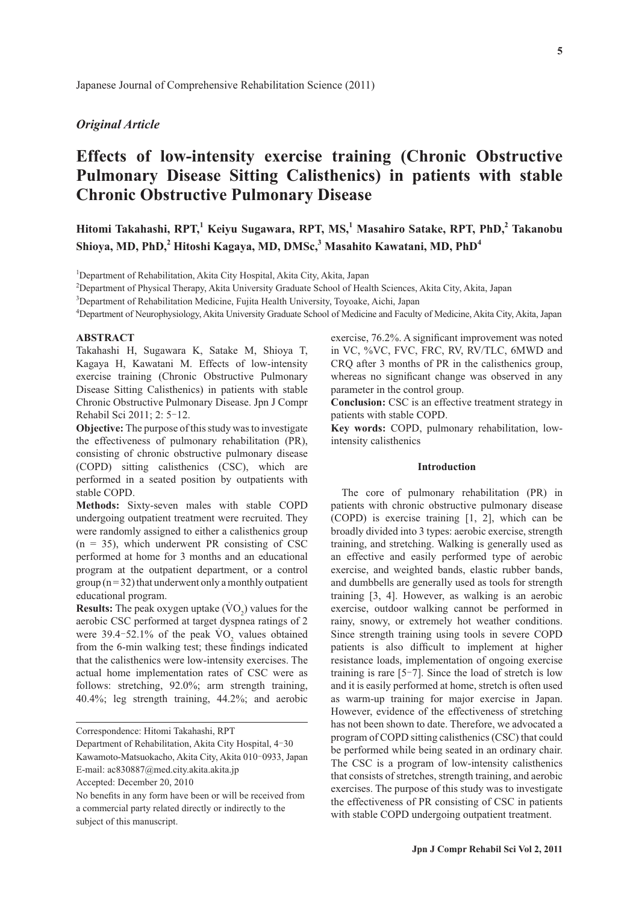# *Original Article*

## **Effects of low-intensity exercise training (Chronic Obstructive Pulmonary Disease Sitting Calisthenics) in patients with stable Chronic Obstructive Pulmonary Disease**

### **Hitomi Takahashi, RPT,1 Keiyu Sugawara, RPT, MS,<sup>1</sup> Masahiro Satake, RPT, PhD,<sup>2</sup> Takanobu Shioya, MD, PhD,<sup>2</sup> Hitoshi Kagaya, MD, DMSc,3 Masahito Kawatani, MD, PhD<sup>4</sup>**

<sup>1</sup>Department of Rehabilitation, Akita City Hospital, Akita City, Akita, Japan

2 Department of Physical Therapy, Akita University Graduate School of Health Sciences, Akita City, Akita, Japan

<sup>3</sup>Department of Rehabilitation Medicine, Fujita Health University, Toyoake, Aichi, Japan

4 Department of Neurophysiology, Akita University Graduate School of Medicine and Faculty of Medicine, Akita City, Akita, Japan

#### **ABSTRACT**

Takahashi H, Sugawara K, Satake M, Shioya T, Kagaya H, Kawatani M. Effects of low-intensity exercise training (Chronic Obstructive Pulmonary Disease Sitting Calisthenics) in patients with stable Chronic Obstructive Pulmonary Disease. Jpn J Compr Rehabil Sci 2011; 2: 5‒12.

**Objective:** The purpose of this study was to investigate the effectiveness of pulmonary rehabilitation (PR), consisting of chronic obstructive pulmonary disease (COPD) sitting calisthenics (CSC), which are performed in a seated position by outpatients with stable COPD.

**Methods:** Sixty-seven males with stable COPD undergoing outpatient treatment were recruited. They were randomly assigned to either a calisthenics group  $(n = 35)$ , which underwent PR consisting of CSC performed at home for 3 months and an educational program at the outpatient department, or a control group  $(n=32)$  that underwent only a monthly outpatient educational program.

**Results:** The peak oxygen uptake  $(\text{VO}_2)$  values for the aerobic CSC performed at target dyspnea ratings of 2 were  $39.4 - 52.1\%$  of the peak  $\rm \dot{VO}_2$  values obtained from the 6-min walking test; these findings indicated that the calisthenics were low-intensity exercises. The actual home implementation rates of CSC were as follows: stretching, 92.0%; arm strength training, 40.4%; leg strength training, 44.2%; and aerobic

exercise, 76.2%. A significant improvement was noted in VC, %VC, FVC, FRC, RV, RV/TLC, 6MWD and CRQ after 3 months of PR in the calisthenics group, whereas no significant change was observed in any parameter in the control group.

**Conclusion:** CSC is an effective treatment strategy in patients with stable COPD.

**Key words:** COPD, pulmonary rehabilitation, lowintensity calisthenics

#### **Introduction**

The core of pulmonary rehabilitation (PR) in patients with chronic obstructive pulmonary disease (COPD) is exercise training [1, 2], which can be broadly divided into 3 types: aerobic exercise, strength training, and stretching. Walking is generally used as an effective and easily performed type of aerobic exercise, and weighted bands, elastic rubber bands, and dumbbells are generally used as tools for strength training [3, 4]. However, as walking is an aerobic exercise, outdoor walking cannot be performed in rainy, snowy, or extremely hot weather conditions. Since strength training using tools in severe COPD patients is also difficult to implement at higher resistance loads, implementation of ongoing exercise training is rare  $[5-7]$ . Since the load of stretch is low and it is easily performed at home, stretch is often used as warm-up training for major exercise in Japan. However, evidence of the effectiveness of stretching has not been shown to date. Therefore, we advocated a program of COPD sitting calisthenics (CSC) that could be performed while being seated in an ordinary chair. The CSC is a program of low-intensity calisthenics that consists of stretches, strength training, and aerobic exercises. The purpose of this study was to investigate the effectiveness of PR consisting of CSC in patients with stable COPD undergoing outpatient treatment.

Correspondence: Hitomi Takahashi, RPT

Department of Rehabilitation, Akita City Hospital, 4‒30 Kawamoto-Matsuokacho, Akita City, Akita 010-0933, Japan E-mail: ac830887@med.city.akita.akita.jp

Accepted: December 20, 2010

No benefits in any form have been or will be received from a commercial party related directly or indirectly to the subject of this manuscript.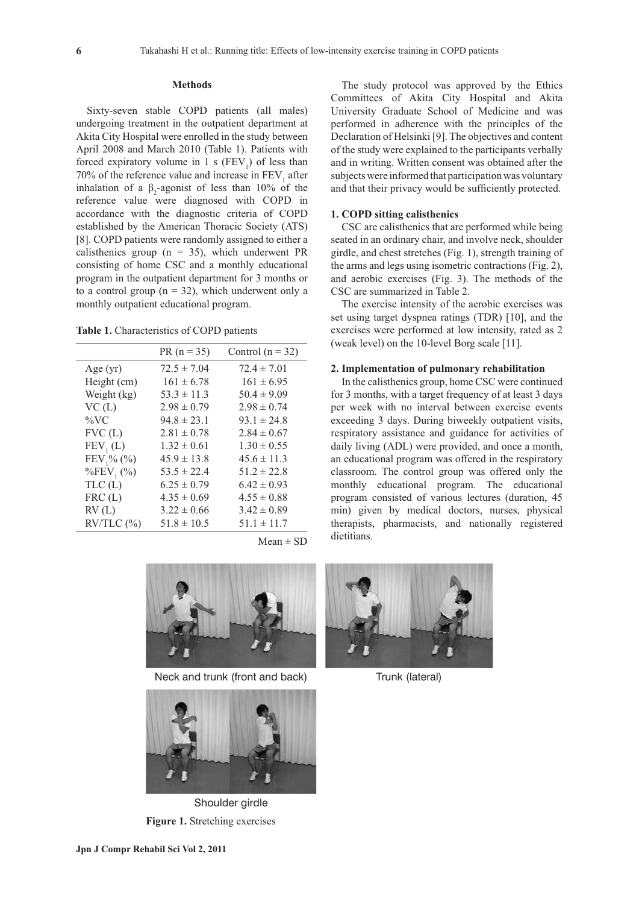#### **Methods**

Sixty-seven stable COPD patients (all males) undergoing treatment in the outpatient department at Akita City Hospital were enrolled in the study between April 2008 and March 2010 (Table 1). Patients with forced expiratory volume in 1 s  $(FEV_1)$  of less than 70% of the reference value and increase in  $\text{FEV}_1$  after inhalation of a  $\beta_2$ -agonist of less than 10% of the reference value were diagnosed with COPD in accordance with the diagnostic criteria of COPD established by the American Thoracic Society (ATS) [8]. COPD patients were randomly assigned to either a calisthenics group ( $n = 35$ ), which underwent PR consisting of home CSC and a monthly educational program in the outpatient department for 3 months or to a control group ( $n = 32$ ), which underwent only a monthly outpatient educational program.

**Table 1.** Characteristics of COPD patients

|                             | $PR (n = 35)$   | Control $(n = 32)$ |
|-----------------------------|-----------------|--------------------|
| Age $(yr)$                  | $72.5 \pm 7.04$ | $72.4 \pm 7.01$    |
| Height (cm)                 | $161 \pm 6.78$  | $161 \pm 6.95$     |
| Weight (kg)                 | $53.3 \pm 11.3$ | $50.4 \pm 9.09$    |
| VC(L)                       | $2.98 \pm 0.79$ | $2.98 \pm 0.74$    |
| $\%$ VC                     | $94.8 \pm 23.1$ | $93.1 \pm 24.8$    |
| FVC(L)                      | $2.81 \pm 0.78$ | $2.84 \pm 0.67$    |
| FEV <sub>1</sub> (L)        | $1.32 \pm 0.61$ | $1.30 \pm 0.55$    |
| $FEV1$ % (%)                | $45.9 \pm 13.8$ | $45.6 \pm 11.3$    |
| $\%$ FEV <sub>1</sub> $(\%$ | $53.5 \pm 22.4$ | $51.2 \pm 22.8$    |
| TLC(L)                      | $6.25 \pm 0.79$ | $6.42 \pm 0.93$    |
| FRC(L)                      | $4.35 \pm 0.69$ | $4.55 \pm 0.88$    |
| RV(L)                       | $3.22 \pm 0.66$ | $3.42 \pm 0.89$    |
| $RV/TLC$ $(\frac{9}{0})$    | $51.8 \pm 10.5$ | $51.1 \pm 11.7$    |
|                             |                 |                    |



The study protocol was approved by the Ethics Committees of Akita City Hospital and Akita University Graduate School of Medicine and was performed in adherence with the principles of the Declaration of Helsinki [9]. The objectives and content of the study were explained to the participants verbally and in writing. Written consent was obtained after the subjects were informed that participation was voluntary and that their privacy would be sufficiently protected.

#### **1. COPD sitting calisthenics**

CSC are calisthenics that are performed while being seated in an ordinary chair, and involve neck, shoulder girdle, and chest stretches (Fig. 1), strength training of the arms and legs using isometric contractions (Fig. 2), and aerobic exercises (Fig. 3). The methods of the CSC are summarized in Table 2.

The exercise intensity of the aerobic exercises was set using target dyspnea ratings (TDR) [10], and the exercises were performed at low intensity, rated as 2 (weak level) on the 10-level Borg scale [11].

#### **2. Implementation of pulmonary rehabilitation**

In the calisthenics group, home CSC were continued for 3 months, with a target frequency of at least 3 days per week with no interval between exercise events exceeding 3 days. During biweekly outpatient visits, respiratory assistance and guidance for activities of daily living (ADL) were provided, and once a month, an educational program was offered in the respiratory classroom. The control group was offered only the monthly educational program. The educational program consisted of various lectures (duration, 45 min) given by medical doctors, nurses, physical therapists, pharmacists, and nationally registered dietitians.





**Figure 1.** Stretching exercises Shoulder girdle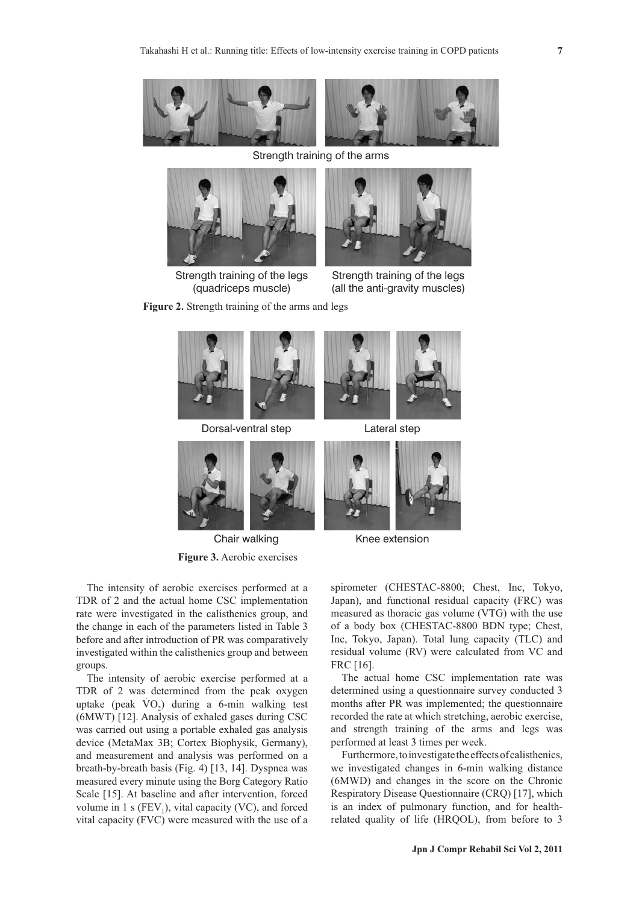

Strength training of the arms



Strength training of the legs (quadriceps muscle)



Strength training of the legs (all the anti-gravity muscles)

**Figure 2.** Strength training of the arms and legs



**Figure 3.** Aerobic exercises



Chair walking The Knee extension

The intensity of aerobic exercises performed at a TDR of 2 and the actual home CSC implementation rate were investigated in the calisthenics group, and the change in each of the parameters listed in Table 3 before and after introduction of PR was comparatively investigated within the calisthenics group and between groups.

The intensity of aerobic exercise performed at a TDR of 2 was determined from the peak oxygen uptake (peak  $\text{VO}_2$ ) during a 6-min walking test (6MWT) [12]. Analysis of exhaled gases during CSC was carried out using a portable exhaled gas analysis device (MetaMax 3B; Cortex Biophysik, Germany), and measurement and analysis was performed on a breath-by-breath basis (Fig. 4) [13, 14]. Dyspnea was measured every minute using the Borg Category Ratio Scale [15]. At baseline and after intervention, forced volume in 1 s  $(FEV_1)$ , vital capacity (VC), and forced vital capacity (FVC) were measured with the use of a

spirometer (CHESTAC-8800; Chest, Inc, Tokyo, Japan), and functional residual capacity (FRC) was measured as thoracic gas volume (VTG) with the use of a body box (CHESTAC-8800 BDN type; Chest, Inc, Tokyo, Japan). Total lung capacity (TLC) and residual volume (RV) were calculated from VC and FRC [16].

The actual home CSC implementation rate was determined using a questionnaire survey conducted 3 months after PR was implemented; the questionnaire recorded the rate at which stretching, aerobic exercise, and strength training of the arms and legs was performed at least 3 times per week.

Furthermore, to investigate the effects of calisthenics, we investigated changes in 6-min walking distance (6MWD) and changes in the score on the Chronic Respiratory Disease Questionnaire (CRQ) [17], which is an index of pulmonary function, and for healthrelated quality of life (HRQOL), from before to 3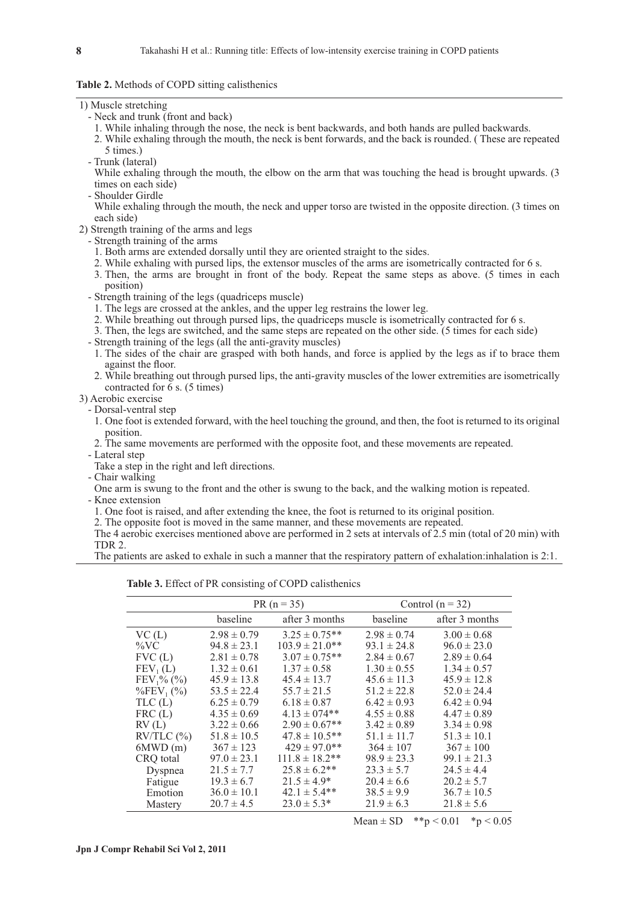#### **Table 2.** Methods of COPD sitting calisthenics

| 1) Muscle stretching |  |
|----------------------|--|
|----------------------|--|

- Neck and trunk (front and back)
- 1. While inhaling through the nose, the neck is bent backwards, and both hands are pulled backwards.
- 2. While exhaling through the mouth, the neck is bent forwards, and the back is rounded. ( These are repeated 5 times.)
- Trunk (lateral)

While exhaling through the mouth, the elbow on the arm that was touching the head is brought upwards. (3) times on each side)

- Shoulder Girdle

While exhaling through the mouth, the neck and upper torso are twisted in the opposite direction. (3 times on each side)

- 2) Strength training of the arms and legs
	- Strength training of the arms
	- 1. Both arms are extended dorsally until they are oriented straight to the sides.
	- 2. While exhaling with pursed lips, the extensor muscles of the arms are isometrically contracted for 6 s.
	- 3. Then, the arms are brought in front of the body. Repeat the same steps as above. (5 times in each position)
	- Strength training of the legs (quadriceps muscle)
		- 1. The legs are crossed at the ankles, and the upper leg restrains the lower leg.
		- 2. While breathing out through pursed lips, the quadriceps muscle is isometrically contracted for 6 s.
	- 3. Then, the legs are switched, and the same steps are repeated on the other side. (5 times for each side)
	- Strength training of the legs (all the anti-gravity muscles)
	- 1. The sides of the chair are grasped with both hands, and force is applied by the legs as if to brace them against the floor.
	- 2. While breathing out through pursed lips, the anti-gravity muscles of the lower extremities are isometrically contracted for  $\bar{6}$  s. (5 times)
- 3) Aerobic exercise

- Dorsal-ventral step

- 1. One foot is extended forward, with the heel touching the ground, and then, the foot is returned to its original position.
- 2. The same movements are performed with the opposite foot, and these movements are repeated.
- Lateral step
- Take a step in the right and left directions.
- Chair walking

One arm is swung to the front and the other is swung to the back, and the walking motion is repeated. - Knee extension

1. One foot is raised, and after extending the knee, the foot is returned to its original position.

2. The opposite foot is moved in the same manner, and these movements are repeated.

The 4 aerobic exercises mentioned above are performed in 2 sets at intervals of 2.5 min (total of 20 min) with TDR 2.

The patients are asked to exhale in such a manner that the respiratory pattern of exhalation:inhalation is 2:1.

**Table 3.** Effect of PR consisting of COPD calisthenics

|                              | $PR (n = 35)$   |                     | Control $(n = 32)$ |                 |
|------------------------------|-----------------|---------------------|--------------------|-----------------|
|                              | baseline        | after 3 months      | baseline           | after 3 months  |
| VC(L)                        | $2.98 \pm 0.79$ | $3.25 \pm 0.75$ **  | $2.98 \pm 0.74$    | $3.00 \pm 0.68$ |
| $\%$ VC                      | $94.8 \pm 23.1$ | $103.9 \pm 21.0$ ** | $93.1 \pm 24.8$    | $96.0 \pm 23.0$ |
| FVC(L)                       | $2.81 \pm 0.78$ | $3.07 \pm 0.75$ **  | $2.84 \pm 0.67$    | $2.89 \pm 0.64$ |
| FEV <sub>1</sub> (L)         | $1.32 \pm 0.61$ | $1.37 \pm 0.58$     | $1.30 \pm 0.55$    | $1.34 \pm 0.57$ |
| $FEV1% (\frac{6}{6})$        | $45.9 \pm 13.8$ | $45.4 \pm 13.7$     | $45.6 \pm 11.3$    | $45.9 \pm 12.8$ |
| $\%$ FEV <sub>1</sub> $(\%)$ | $53.5 \pm 22.4$ | $55.7 \pm 21.5$     | $51.2 \pm 22.8$    | $52.0 \pm 24.4$ |
| TLC(L)                       | $6.25 \pm 0.79$ | $6.18 \pm 0.87$     | $6.42 \pm 0.93$    | $6.42 \pm 0.94$ |
| FRC(L)                       | $4.35 \pm 0.69$ | $4.13 \pm 0.74**$   | $4.55 \pm 0.88$    | $4.47 \pm 0.89$ |
| RV(L)                        | $3.22 \pm 0.66$ | $2.90 \pm 0.67$ **  | $3.42 \pm 0.89$    | $3.34 \pm 0.98$ |
| $RV/TLC$ $%$                 | $51.8 \pm 10.5$ | $47.8 \pm 10.5$ **  | $51.1 \pm 11.7$    | $51.3 \pm 10.1$ |
| 6MWD(m)                      | $367 \pm 123$   | $429 \pm 97.0$ **   | $364 \pm 107$      | $367 \pm 100$   |
| CRQ total                    | $97.0 \pm 23.1$ | $111.8 \pm 18.2$ ** | $98.9 \pm 23.3$    | $99.1 \pm 21.3$ |
| Dyspnea                      | $21.5 \pm 7.7$  | $25.8 \pm 6.2$ **   | $23.3 \pm 5.7$     | $24.5 \pm 4.4$  |
| Fatigue                      | $19.3 \pm 6.7$  | $21.5 \pm 4.9*$     | $20.4 \pm 6.6$     | $20.2 \pm 5.7$  |
| Emotion                      | $36.0 \pm 10.1$ | $42.1 \pm 5.4**$    | $38.5 \pm 9.9$     | $36.7 \pm 10.5$ |
| Mastery                      | $20.7 \pm 4.5$  | $23.0 \pm 5.3^*$    | $21.9 \pm 6.3$     | $21.8 \pm 5.6$  |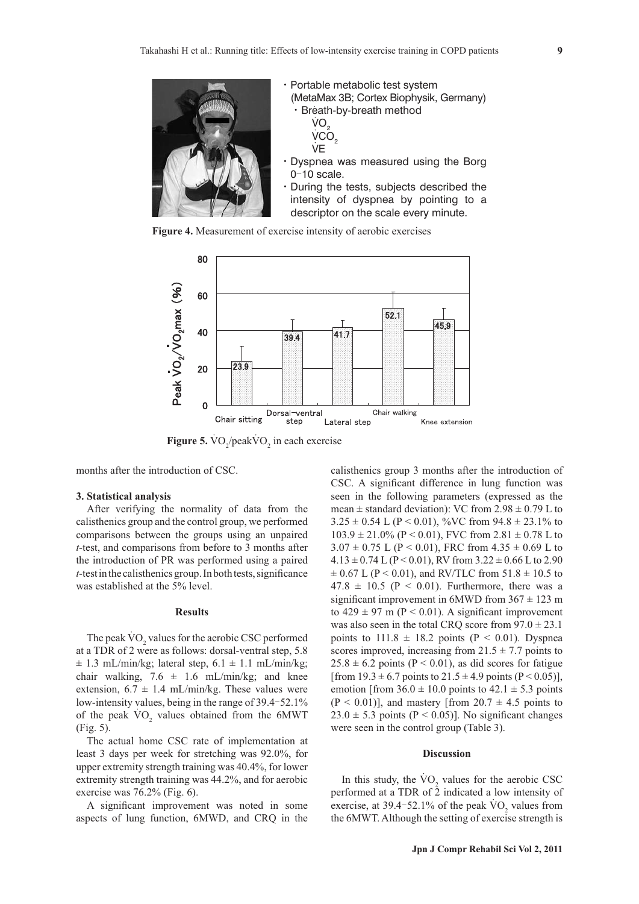

**Figure 4.** Measurement of exercise intensity of aerobic exercises



**Figure 5.**  $VO_2$ / $peakVO_2$  in each exercise

months after the introduction of CSC.

#### **3. Statistical analysis**

After verifying the normality of data from the calisthenics group and the control group, we performed comparisons between the groups using an unpaired *t*-test, and comparisons from before to 3 months after the introduction of PR was performed using a paired  $t$ -test in the calisthenics group. In both tests, significance was established at the 5% level.

#### **Results**

The peak  $\rm \dot{VO}_{2}$  values for the aerobic CSC performed at a TDR of 2 were as follows: dorsal-ventral step, 5.8  $\pm$  1.3 mL/min/kg; lateral step, 6.1  $\pm$  1.1 mL/min/kg; chair walking,  $7.6 \pm 1.6 \text{ mL/min/kg}$ ; and knee extension,  $6.7 \pm 1.4$  mL/min/kg. These values were low-intensity values, being in the range of 39.4–52.1% of the peak  $\rm \dot{VO}_{2}$  values obtained from the 6MWT (Fig. 5).

The actual home CSC rate of implementation at least 3 days per week for stretching was 92.0%, for upper extremity strength training was 40.4%, for lower extremity strength training was 44.2%, and for aerobic exercise was 76.2% (Fig. 6).

A significant improvement was noted in some aspects of lung function, 6MWD, and CRQ in the

calisthenics group 3 months after the introduction of CSC. A significant difference in lung function was seen in the following parameters (expressed as the mean  $\pm$  standard deviation): VC from 2.98  $\pm$  0.79 L to  $3.25 \pm 0.54$  L (P < 0.01), %VC from  $94.8 \pm 23.1$ % to  $103.9 \pm 21.0\%$  (P < 0.01), FVC from  $2.81 \pm 0.78$  L to  $3.07 \pm 0.75$  L (P < 0.01), FRC from  $4.35 \pm 0.69$  L to  $4.13 \pm 0.74$  L (P < 0.01), RV from  $3.22 \pm 0.66$  L to 2.90  $\pm$  0.67 L (P < 0.01), and RV/TLC from 51.8  $\pm$  10.5 to  $47.8 \pm 10.5$  (P < 0.01). Furthermore, there was a significant improvement in 6MWD from  $367 \pm 123$  m to  $429 \pm 97$  m (P < 0.01). A significant improvement was also seen in the total CRQ score from  $97.0 \pm 23.1$ points to  $111.8 \pm 18.2$  points (P < 0.01). Dyspnea scores improved, increasing from  $21.5 \pm 7.7$  points to  $25.8 \pm 6.2$  points (P < 0.01), as did scores for fatigue [from  $19.3 \pm 6.7$  points to  $21.5 \pm 4.9$  points (P < 0.05)], emotion [from  $36.0 \pm 10.0$  points to  $42.1 \pm 5.3$  points  $(P < 0.01)$ ], and mastery [from  $20.7 \pm 4.5$  points to  $23.0 \pm 5.3$  points (P < 0.05)]. No significant changes were seen in the control group (Table 3).

#### **Discussion**

In this study, the  $\rm \dot{VO}_{2}$  values for the aerobic CSC performed at a TDR of  $\overline{2}$  indicated a low intensity of exercise, at 39.4-52.1% of the peak  $\rm \dot{VO}_2$  values from the 6MWT. Although the setting of exercise strength is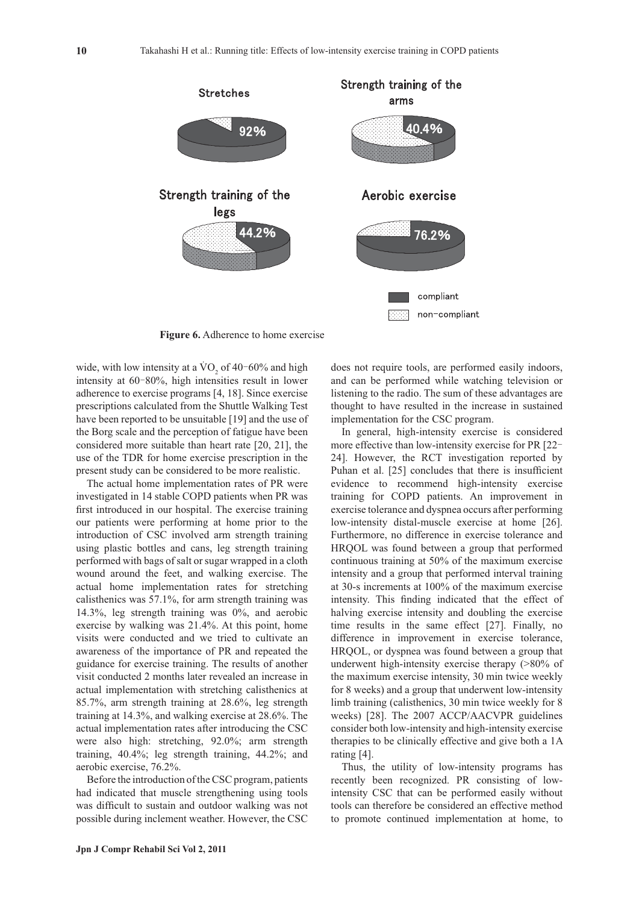

**Figure 6.** Adherence to home exercise

wide, with low intensity at a VO<sub>2</sub> of 40-60% and high intensity at 60‒80%, high intensities result in lower adherence to exercise programs [4, 18]. Since exercise prescriptions calculated from the Shuttle Walking Test have been reported to be unsuitable [19] and the use of the Borg scale and the perception of fatigue have been considered more suitable than heart rate [20, 21], the use of the TDR for home exercise prescription in the present study can be considered to be more realistic.

The actual home implementation rates of PR were investigated in 14 stable COPD patients when PR was first introduced in our hospital. The exercise training our patients were performing at home prior to the introduction of CSC involved arm strength training using plastic bottles and cans, leg strength training performed with bags of salt or sugar wrapped in a cloth wound around the feet, and walking exercise. The actual home implementation rates for stretching calisthenics was 57.1%, for arm strength training was 14.3%, leg strength training was 0%, and aerobic exercise by walking was 21.4%. At this point, home visits were conducted and we tried to cultivate an awareness of the importance of PR and repeated the guidance for exercise training. The results of another visit conducted 2 months later revealed an increase in actual implementation with stretching calisthenics at 85.7%, arm strength training at 28.6%, leg strength training at 14.3%, and walking exercise at 28.6%. The actual implementation rates after introducing the CSC were also high: stretching, 92.0%; arm strength training, 40.4%; leg strength training, 44.2%; and aerobic exercise, 76.2%.

Before the introduction of the CSC program, patients had indicated that muscle strengthening using tools was difficult to sustain and outdoor walking was not possible during inclement weather. However, the CSC

does not require tools, are performed easily indoors, and can be performed while watching television or listening to the radio. The sum of these advantages are thought to have resulted in the increase in sustained implementation for the CSC program.

In general, high-intensity exercise is considered more effective than low-intensity exercise for PR [22– 24]. However, the RCT investigation reported by Puhan et al. [25] concludes that there is insufficient evidence to recommend high-intensity exercise training for COPD patients. An improvement in exercise tolerance and dyspnea occurs after performing low-intensity distal-muscle exercise at home [26]. Furthermore, no difference in exercise tolerance and HRQOL was found between a group that performed continuous training at 50% of the maximum exercise intensity and a group that performed interval training at 30-s increments at 100% of the maximum exercise intensity. This finding indicated that the effect of halving exercise intensity and doubling the exercise time results in the same effect [27]. Finally, no difference in improvement in exercise tolerance, HRQOL, or dyspnea was found between a group that underwent high-intensity exercise therapy (>80% of the maximum exercise intensity, 30 min twice weekly for 8 weeks) and a group that underwent low-intensity limb training (calisthenics, 30 min twice weekly for 8 weeks) [28]. The 2007 ACCP/AACVPR guidelines consider both low-intensity and high-intensity exercise therapies to be clinically effective and give both a 1A rating [4].

Thus, the utility of low-intensity programs has recently been recognized. PR consisting of lowintensity CSC that can be performed easily without tools can therefore be considered an effective method to promote continued implementation at home, to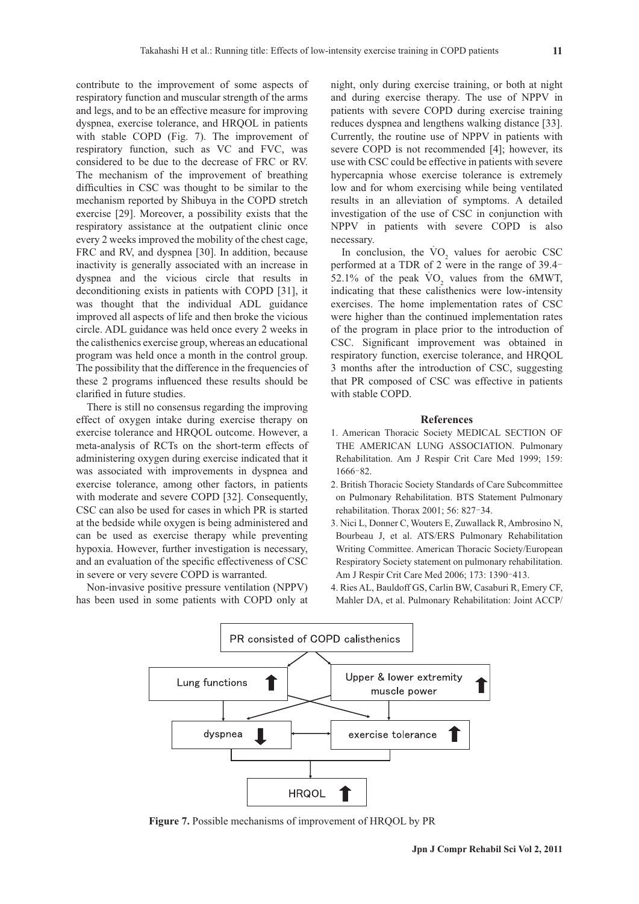contribute to the improvement of some aspects of respiratory function and muscular strength of the arms and legs, and to be an effective measure for improving dyspnea, exercise tolerance, and HRQOL in patients with stable COPD (Fig. 7). The improvement of respiratory function, such as VC and FVC, was considered to be due to the decrease of FRC or RV. The mechanism of the improvement of breathing difficulties in CSC was thought to be similar to the mechanism reported by Shibuya in the COPD stretch exercise [29]. Moreover, a possibility exists that the respiratory assistance at the outpatient clinic once every 2 weeks improved the mobility of the chest cage, FRC and RV, and dyspnea [30]. In addition, because inactivity is generally associated with an increase in dyspnea and the vicious circle that results in deconditioning exists in patients with COPD [31], it was thought that the individual ADL guidance improved all aspects of life and then broke the vicious circle. ADL guidance was held once every 2 weeks in the calisthenics exercise group, whereas an educational program was held once a month in the control group. The possibility that the difference in the frequencies of these 2 programs influenced these results should be clarified in future studies.

There is still no consensus regarding the improving effect of oxygen intake during exercise therapy on exercise tolerance and HRQOL outcome. However, a meta-analysis of RCTs on the short-term effects of administering oxygen during exercise indicated that it was associated with improvements in dyspnea and exercise tolerance, among other factors, in patients with moderate and severe COPD [32]. Consequently, CSC can also be used for cases in which PR is started at the bedside while oxygen is being administered and can be used as exercise therapy while preventing hypoxia. However, further investigation is necessary, and an evaluation of the specific effectiveness of CSC in severe or very severe COPD is warranted.

Non-invasive positive pressure ventilation (NPPV) has been used in some patients with COPD only at night, only during exercise training, or both at night and during exercise therapy. The use of NPPV in patients with severe COPD during exercise training reduces dyspnea and lengthens walking distance [33]. Currently, the routine use of NPPV in patients with severe COPD is not recommended [4]; however, its use with CSC could be effective in patients with severe hypercapnia whose exercise tolerance is extremely low and for whom exercising while being ventilated results in an alleviation of symptoms. A detailed investigation of the use of CSC in conjunction with NPPV in patients with severe COPD is also necessary.

In conclusion, the  $\text{VO}_2$  values for aerobic CSC performed at a TDR of 2 were in the range of 39.4-52.1% of the peak  $\text{VO}_2$  values from the 6MWT, indicating that these calisthenics were low-intensity exercises. The home implementation rates of CSC were higher than the continued implementation rates of the program in place prior to the introduction of CSC. Significant improvement was obtained in respiratory function, exercise tolerance, and HRQOL 3 months after the introduction of CSC, suggesting that PR composed of CSC was effective in patients with stable COPD.

#### **References**

- 1. American Thoracic Society MEDICAL SECTION OF THE AMERICAN LUNG ASSOCIATION. Pulmonary Rehabilitation. Am J Respir Crit Care Med 1999; 159: 1666‒82.
- 2 . British Thoracic Society Standards of Care Subcommittee on Pulmonary Rehabilitation. BTS Statement Pulmonary rehabilitation. Thorax 2001; 56: 827-34.
- 3 . Nici L, Donner C, Wouters E, Zuwallack R, Ambrosino N, Bourbeau J, et al. ATS/ERS Pulmonary Rehabilitation Writing Committee. American Thoracic Society/European Respiratory Society statement on pulmonary rehabilitation. Am J Respir Crit Care Med 2006; 173: 1390-413.
- 4 . Ries AL, Bauldoff GS, Carlin BW, Casaburi R, Emery CF, Mahler DA, et al. Pulmonary Rehabilitation: Joint ACCP/



**Figure 7.** Possible mechanisms of improvement of HRQOL by PR